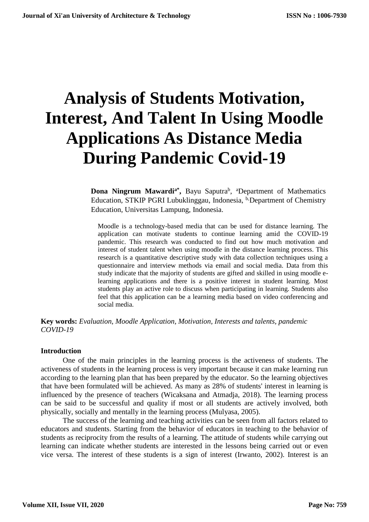# **Analysis of Students Motivation, Interest, And Talent In Using Moodle Applications As Distance Media During Pandemic Covid-19**

**Dona Ningrum Mawardi<sup>a\*</sup>**, Bayu Saputra<sup>b</sup>, <sup>a</sup>Department of Mathematics Education, STKIP PGRI Lubuklinggau, Indonesia, <sup>b,</sup>Department of Chemistry Education, Universitas Lampung, Indonesia.

Moodle is a technology-based media that can be used for distance learning. The application can motivate students to continue learning amid the COVID-19 pandemic. This research was conducted to find out how much motivation and interest of student talent when using moodle in the distance learning process. This research is a quantitative descriptive study with data collection techniques using a questionnaire and interview methods via email and social media. Data from this study indicate that the majority of students are gifted and skilled in using moodle elearning applications and there is a positive interest in student learning. Most students play an active role to discuss when participating in learning. Students also feel that this application can be a learning media based on video conferencing and social media.

**Key words:** *Evaluation, Moodle Application, Motivation, Interests and talents, pandemic COVID-19*

#### **Introduction**

One of the main principles in the learning process is the activeness of students. The activeness of students in the learning process is very important because it can make learning run according to the learning plan that has been prepared by the educator. So the learning objectives that have been formulated will be achieved. As many as 28% of students' interest in learning is influenced by the presence of teachers (Wicaksana and Atmadja, 2018). The learning process can be said to be successful and quality if most or all students are actively involved, both physically, socially and mentally in the learning process (Mulyasa, 2005).

The success of the learning and teaching activities can be seen from all factors related to educators and students. Starting from the behavior of educators in teaching to the behavior of students as reciprocity from the results of a learning. The attitude of students while carrying out learning can indicate whether students are interested in the lessons being carried out or even vice versa. The interest of these students is a sign of interest (Irwanto, 2002). Interest is an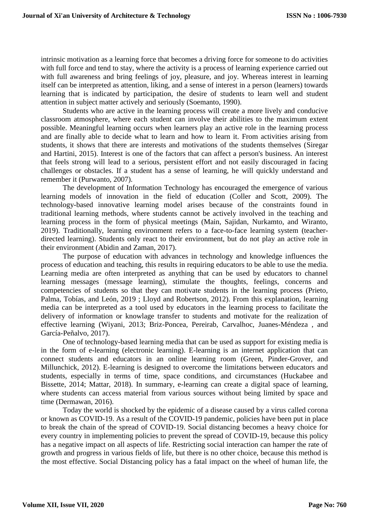intrinsic motivation as a learning force that becomes a driving force for someone to do activities with full force and tend to stay, where the activity is a process of learning experience carried out with full awareness and bring feelings of joy, pleasure, and joy. Whereas interest in learning itself can be interpreted as attention, liking, and a sense of interest in a person (learners) towards learning that is indicated by participation, the desire of students to learn well and student attention in subject matter actively and seriously (Soemanto, 1990).

Students who are active in the learning process will create a more lively and conducive classroom atmosphere, where each student can involve their abilities to the maximum extent possible. Meaningful learning occurs when learners play an active role in the learning process and are finally able to decide what to learn and how to learn it. From activities arising from students, it shows that there are interests and motivations of the students themselves (Siregar and Hartini, 2015). Interest is one of the factors that can affect a person's business. An interest that feels strong will lead to a serious, persistent effort and not easily discouraged in facing challenges or obstacles. If a student has a sense of learning, he will quickly understand and remember it (Purwanto, 2007).

The development of Information Technology has encouraged the emergence of various learning models of innovation in the field of education (Coller and Scott, 2009). The technology-based innovative learning model arises because of the constraints found in traditional learning methods, where students cannot be actively involved in the teaching and learning process in the form of physical meetings (Main, Sajidan, Nurkamto, and Wiranto, 2019). Traditionally, learning environment refers to a face-to-face learning system (teacherdirected learning). Students only react to their environment, but do not play an active role in their environment (Abidin and Zaman, 2017).

The purpose of education with advances in technology and knowledge influences the process of education and teaching, this results in requiring educators to be able to use the media. Learning media are often interpreted as anything that can be used by educators to channel learning messages (message learning), stimulate the thoughts, feelings, concerns and competencies of students so that they can motivate students in the learning process (Prieto, Palma, Tobías, and León, 2019 ; Lloyd and Robertson, 2012). From this explanation, learning media can be interpreted as a tool used by educators in the learning process to facilitate the delivery of information or knowlage transfer to students and motivate for the realization of effective learning (Wiyani, 2013; Briz-Poncea, Pereirab, Carvalhoc, Juanes-Méndeza , and García-Peñalvo, 2017).

One of technology-based learning media that can be used as support for existing media is in the form of e-learning (electronic learning). E-learning is an internet application that can connect students and educators in an online learning room (Green, Pinder-Grover, and Millunchick, 2012). E-learning is designed to overcome the limitations between educators and students, especially in terms of time, space conditions, and circumstances (Huckabee and Bissette, 2014; Mattar, 2018). In summary, e-learning can create a digital space of learning, where students can access material from various sources without being limited by space and time (Dermawan, 2016).

Today the world is shocked by the epidemic of a disease caused by a virus called corona or known as COVID-19. As a result of the COVID-19 pandemic, policies have been put in place to break the chain of the spread of COVID-19. Social distancing becomes a heavy choice for every country in implementing policies to prevent the spread of COVID-19, because this policy has a negative impact on all aspects of life. Restricting social interaction can hamper the rate of growth and progress in various fields of life, but there is no other choice, because this method is the most effective. Social Distancing policy has a fatal impact on the wheel of human life, the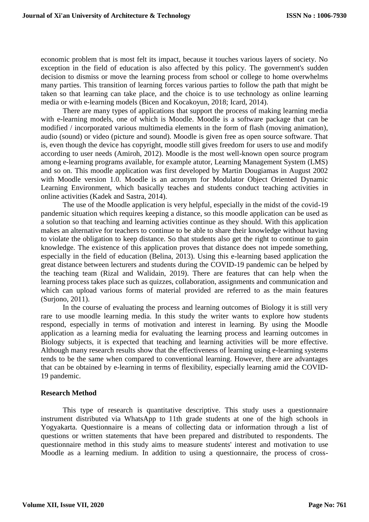economic problem that is most felt its impact, because it touches various layers of society. No exception in the field of education is also affected by this policy. The government's sudden decision to dismiss or move the learning process from school or college to home overwhelms many parties. This transition of learning forces various parties to follow the path that might be taken so that learning can take place, and the choice is to use technology as online learning media or with e-learning models (Bicen and Kocakoyun, 2018; Icard, 2014).

There are many types of applications that support the process of making learning media with e-learning models, one of which is Moodle. Moodle is a software package that can be modified / incorporated various multimedia elements in the form of flash (moving animation), audio (sound) or video (picture and sound). Moodle is given free as open source software. That is, even though the device has copyright, moodle still gives freedom for users to use and modify according to user needs (Amiroh, 2012). Moodle is the most well-known open source program among e-learning programs available, for example atutor, Learning Management System (LMS) and so on. This moodle application was first developed by Martin Dougiamas in August 2002 with Moodle version 1.0. Moodle is an acronym for Modulator Object Oriented Dynamic Learning Environment, which basically teaches and students conduct teaching activities in online activities (Kadek and Sastra, 2014).

The use of the Moodle application is very helpful, especially in the midst of the covid-19 pandemic situation which requires keeping a distance, so this moodle application can be used as a solution so that teaching and learning activities continue as they should. With this application makes an alternative for teachers to continue to be able to share their knowledge without having to violate the obligation to keep distance. So that students also get the right to continue to gain knowledge. The existence of this application proves that distance does not impede something, especially in the field of education (Belina, 2013). Using this e-learning based application the great distance between lecturers and students during the COVID-19 pandemic can be helped by the teaching team (Rizal and Walidain, 2019). There are features that can help when the learning process takes place such as quizzes, collaboration, assignments and communication and which can upload various forms of material provided are referred to as the main features (Surjono, 2011).

In the course of evaluating the process and learning outcomes of Biology it is still very rare to use moodle learning media. In this study the writer wants to explore how students respond, especially in terms of motivation and interest in learning. By using the Moodle application as a learning media for evaluating the learning process and learning outcomes in Biology subjects, it is expected that teaching and learning activities will be more effective. Although many research results show that the effectiveness of learning using e-learning systems tends to be the same when compared to conventional learning. However, there are advantages that can be obtained by e-learning in terms of flexibility, especially learning amid the COVID-19 pandemic.

## **Research Method**

This type of research is quantitative descriptive. This study uses a questionnaire instrument distributed via WhatsApp to 11th grade students at one of the high schools in Yogyakarta. Questionnaire is a means of collecting data or information through a list of questions or written statements that have been prepared and distributed to respondents. The questionnaire method in this study aims to measure students' interest and motivation to use Moodle as a learning medium. In addition to using a questionnaire, the process of cross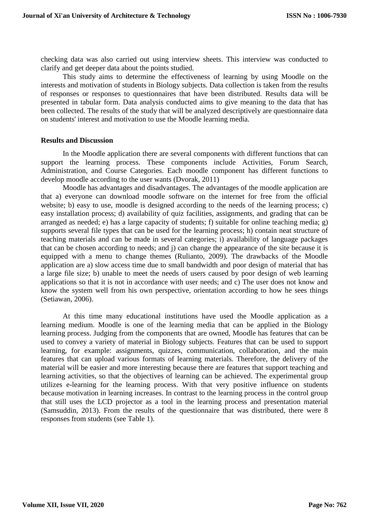checking data was also carried out using interview sheets. This interview was conducted to clarify and get deeper data about the points studied.

This study aims to determine the effectiveness of learning by using Moodle on the interests and motivation of students in Biology subjects. Data collection is taken from the results of responses or responses to questionnaires that have been distributed. Results data will be presented in tabular form. Data analysis conducted aims to give meaning to the data that has been collected. The results of the study that will be analyzed descriptively are questionnaire data on students' interest and motivation to use the Moodle learning media.

#### **Results and Discussion**

In the Moodle application there are several components with different functions that can support the learning process. These components include Activities, Forum Search, Administration, and Course Categories. Each moodle component has different functions to develop moodle according to the user wants (Dvorak, 2011)

Moodle has advantages and disadvantages. The advantages of the moodle application are that a) everyone can download moodle software on the internet for free from the official website; b) easy to use, moodle is designed according to the needs of the learning process; c) easy installation process; d) availability of quiz facilities, assignments, and grading that can be arranged as needed; e) has a large capacity of students; f) suitable for online teaching media; g) supports several file types that can be used for the learning process; h) contain neat structure of teaching materials and can be made in several categories; i) availability of language packages that can be chosen according to needs; and j) can change the appearance of the site because it is equipped with a menu to change themes (Rulianto, 2009). The drawbacks of the Moodle application are a) slow access time due to small bandwidth and poor design of material that has a large file size; b) unable to meet the needs of users caused by poor design of web learning applications so that it is not in accordance with user needs; and c) The user does not know and know the system well from his own perspective, orientation according to how he sees things (Setiawan, 2006).

At this time many educational institutions have used the Moodle application as a learning medium. Moodle is one of the learning media that can be applied in the Biology learning process. Judging from the components that are owned, Moodle has features that can be used to convey a variety of material in Biology subjects. Features that can be used to support learning, for example: assignments, quizzes, communication, collaboration, and the main features that can upload various formats of learning materials. Therefore, the delivery of the material will be easier and more interesting because there are features that support teaching and learning activities, so that the objectives of learning can be achieved. The experimental group utilizes e-learning for the learning process. With that very positive influence on students because motivation in learning increases. In contrast to the learning process in the control group that still uses the LCD projector as a tool in the learning process and presentation material (Samsuddin, 2013). From the results of the questionnaire that was distributed, there were 8 responses from students (see Table 1).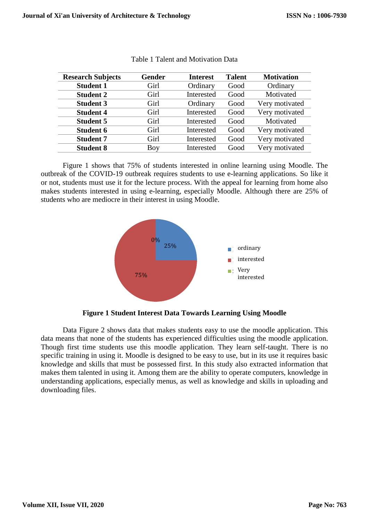| <b>Research Subjects</b> | <b>Gender</b> | <b>Interest</b> | <b>Talent</b> | <b>Motivation</b> |
|--------------------------|---------------|-----------------|---------------|-------------------|
| <b>Student 1</b>         | Girl          | Ordinary        | Good          | Ordinary          |
| <b>Student 2</b>         | Girl          | Interested      | Good          | Motivated         |
| <b>Student 3</b>         | Girl          | Ordinary        | Good          | Very motivated    |
| <b>Student 4</b>         | Girl          | Interested      | Good          | Very motivated    |
| <b>Student 5</b>         | Girl          | Interested      | Good          | Motivated         |
| <b>Student 6</b>         | Girl          | Interested      | Good          | Very motivated    |
| <b>Student 7</b>         | Girl          | Interested      | Good          | Very motivated    |
| <b>Student 8</b>         | Boy           | Interested      | Good          | Very motivated    |

|  | <b>Table 1 Talent and Motivation Data</b> |  |
|--|-------------------------------------------|--|
|  |                                           |  |

Figure 1 shows that 75% of students interested in online learning using Moodle. The outbreak of the COVID-19 outbreak requires students to use e-learning applications. So like it or not, students must use it for the lecture process. With the appeal for learning from home also makes students interested in using e-learning, especially Moodle. Although there are 25% of students who are mediocre in their interest in using Moodle.



**Figure 1 Student Interest Data Towards Learning Using Moodle**

Data Figure 2 shows data that makes students easy to use the moodle application. This data means that none of the students has experienced difficulties using the moodle application. Though first time students use this moodle application. They learn self-taught. There is no specific training in using it. Moodle is designed to be easy to use, but in its use it requires basic knowledge and skills that must be possessed first. In this study also extracted information that makes them talented in using it. Among them are the ability to operate computers, knowledge in understanding applications, especially menus, as well as knowledge and skills in uploading and downloading files.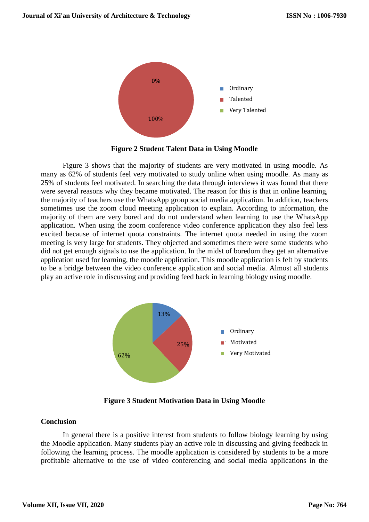

**Figure 2 Student Talent Data in Using Moodle**

Figure 3 shows that the majority of students are very motivated in using moodle. As many as 62% of students feel very motivated to study online when using moodle. As many as 25% of students feel motivated. In searching the data through interviews it was found that there were several reasons why they became motivated. The reason for this is that in online learning, the majority of teachers use the WhatsApp group social media application. In addition, teachers sometimes use the zoom cloud meeting application to explain. According to information, the majority of them are very bored and do not understand when learning to use the WhatsApp application. When using the zoom conference video conference application they also feel less excited because of internet quota constraints. The internet quota needed in using the zoom meeting is very large for students. They objected and sometimes there were some students who did not get enough signals to use the application. In the midst of boredom they get an alternative application used for learning, the moodle application. This moodle application is felt by students to be a bridge between the video conference application and social media. Almost all students play an active role in discussing and providing feed back in learning biology using moodle.



**Figure 3 Student Motivation Data in Using Moodle**

## **Conclusion**

In general there is a positive interest from students to follow biology learning by using the Moodle application. Many students play an active role in discussing and giving feedback in following the learning process. The moodle application is considered by students to be a more profitable alternative to the use of video conferencing and social media applications in the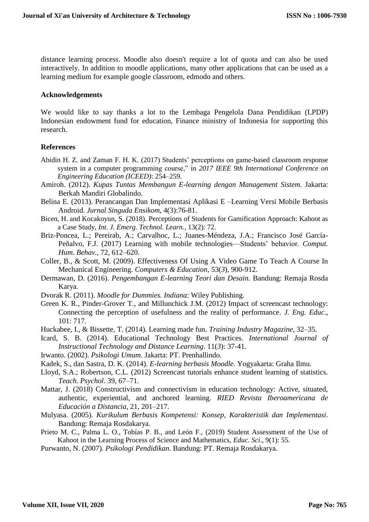distance learning process. Moodle also doesn't require a lot of quota and can also be used interactively. In addition to moodle applications, many other applications that can be used as a learning medium for example google classroom, edmodo and others.

#### **Acknowledgements**

We would like to say thanks a lot to the Lembaga Pengelola Dana Pendidikan (LPDP) Indonesian endowment fund for education, Finance ministry of Indonesia for supporting this research.

### **References**

- Abidin H. Z. and Zaman F. H. K. (2017) Students' perceptions on game-based classroom response system in a computer programming course," in *2017 IEEE 9th International Conference on Engineering Education (ICEED)*: 254–259.
- Amiroh. (2012). *Kupas Tuntas Membangun E-learning dengan Management Sistem.* Jakarta: Berkah Mandiri Globalindo.
- Belina E. (2013). Perancangan Dan Implementasi Aplikasi E –Learning Versi Mobile Berbasis Android. *Jurnal Singuda Ensikom*, 4(3):76-81.
- Bicen, H. and Kocakoyun, S. (2018). Perceptions of Students for Gamification Approach: Kahoot as a Case Study, *Int. J. Emerg. Technol. Learn.*, 13(2): 72.
- Briz-Poncea, L.; Pereirab, A.; Carvalhoc, L.; Juanes-Méndeza, J.A.; Francisco José García-Peñalvo, F.J. (2017) Learning with mobile technologies—Students' behavior. *Comput. Hum. Behav.*, 72, 612–620.
- Coller, B., & Scott, M. (2009). Effectiveness Of Using A Video Game To Teach A Course In Mechanical Engineering. *Computers & Education*, 53(*3*), 900-912.
- Dermawan, D. (2016). *Pengembangan E-learning Teori dan Desain.* Bandung: Remaja Rosda Karya.
- Dvorak R. (2011). *Moodle for Dummies. Indiana*: Wiley Publishing.
- Green K. R., Pinder-Grover T., and Millunchick J.M. (2012) Impact of screencast technology: Connecting the perception of usefulness and the reality of performance. *J. Eng. Educ*., 101: 717.
- Huckabee, I., & Bissette, T. (2014). Learning made fun. *Training Industry Magazine*, 32–35.
- Icard, S. B. (2014). Educational Technology Best Practices. *International Journal of Instructional Technology and Distance Learning*. 11(*3*): 37-41.
- Irwanto. (2002). *Psikologi Umum*. Jakarta: PT. Prenhallindo.
- Kadek, S., dan Sastra, D. K. (2014). *E-learning berbasis Moodle.* Yogyakarta: Graha Ilmu.
- Lloyd, S.A.; Robertson, C.L. (2012) Screencast tutorials enhance student learning of statistics. *Teach. Psychol*. 39, 67–71.
- Mattar, J. (2018) Constructivism and connectivism in education technology: Active, situated, authentic, experiential, and anchored learning. *RIED Revista Iberoamericana de Educación a Distancia*, 21, 201–217.
- Mulyasa. (2005)*. Kurikulum Berbasis Kompetensi: Konsep, Karakteristik dan Implementasi*. Bandung: Remaja Rosdakarya.
- Prieto M. C., Palma L. O., Tobías P. B., and León F., (2019) Student Assessment of the Use of Kahoot in the Learning Process of Science and Mathematics, *Educ. Sci*., 9(1): 55.
- Purwanto, N. (2007)*. Psikologi Pendidikan*. Bandung: PT. Remaja Rosdakarya.